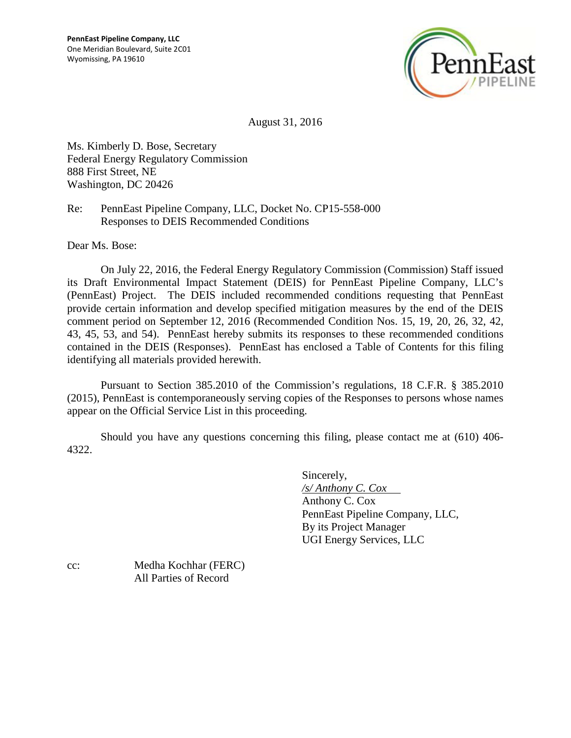

August 31, 2016

Ms. Kimberly D. Bose, Secretary Federal Energy Regulatory Commission 888 First Street, NE Washington, DC 20426

Re: PennEast Pipeline Company, LLC, Docket No. CP15-558-000 Responses to DEIS Recommended Conditions

Dear Ms. Bose:

On July 22, 2016, the Federal Energy Regulatory Commission (Commission) Staff issued its Draft Environmental Impact Statement (DEIS) for PennEast Pipeline Company, LLC's (PennEast) Project. The DEIS included recommended conditions requesting that PennEast provide certain information and develop specified mitigation measures by the end of the DEIS comment period on September 12, 2016 (Recommended Condition Nos. 15, 19, 20, 26, 32, 42, 43, 45, 53, and 54). PennEast hereby submits its responses to these recommended conditions contained in the DEIS (Responses). PennEast has enclosed a Table of Contents for this filing identifying all materials provided herewith.

Pursuant to Section 385.2010 of the Commission's regulations, 18 C.F.R. § 385.2010 (2015), PennEast is contemporaneously serving copies of the Responses to persons whose names appear on the Official Service List in this proceeding.

Should you have any questions concerning this filing, please contact me at (610) 406- 4322.

> Sincerely, */s/ Anthony C. Cox*  Anthony C. Cox PennEast Pipeline Company, LLC, By its Project Manager UGI Energy Services, LLC

cc: Medha Kochhar (FERC) All Parties of Record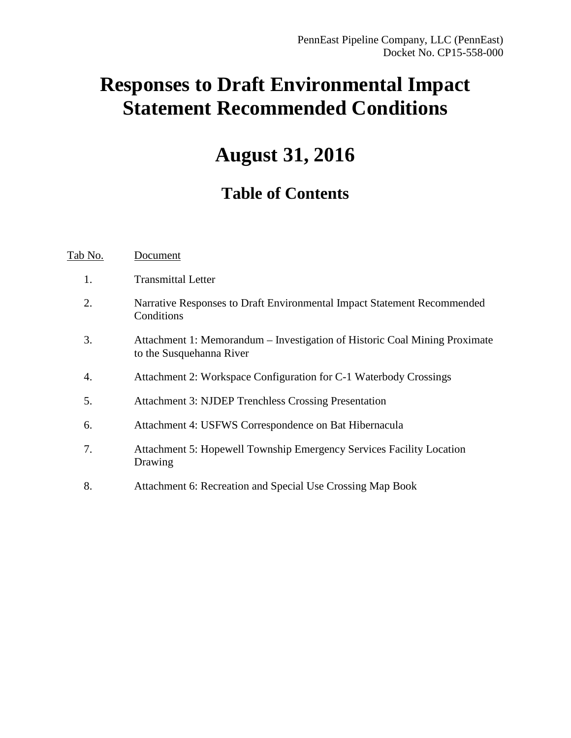# **Responses to Draft Environmental Impact Statement Recommended Conditions**

# **August 31, 2016**

# **Table of Contents**

Tab No. Document

1. Transmittal Letter 2. Narrative Responses to Draft Environmental Impact Statement Recommended **Conditions** 3. Attachment 1: Memorandum – Investigation of Historic Coal Mining Proximate to the Susquehanna River 4. Attachment 2: Workspace Configuration for C-1 Waterbody Crossings 5. Attachment 3: NJDEP Trenchless Crossing Presentation 6. Attachment 4: USFWS Correspondence on Bat Hibernacula 7. Attachment 5: Hopewell Township Emergency Services Facility Location Drawing 8. Attachment 6: Recreation and Special Use Crossing Map Book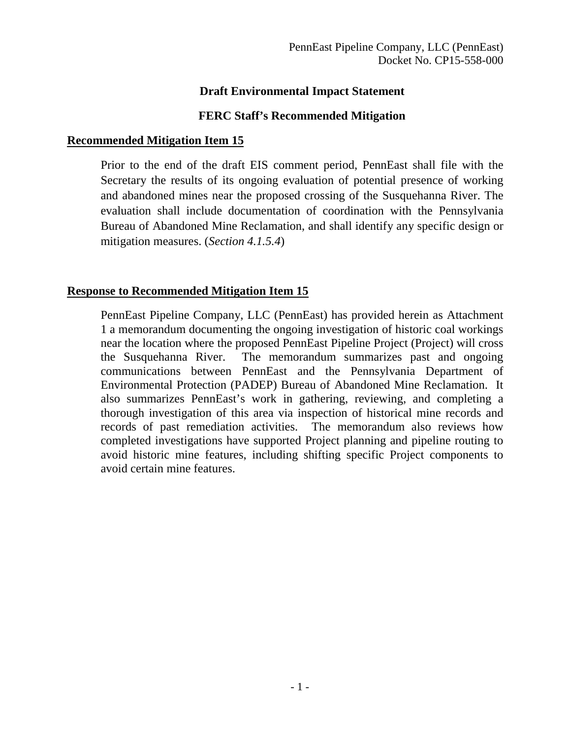# **Draft Environmental Impact Statement**

### **FERC Staff's Recommended Mitigation**

#### **Recommended Mitigation Item 15**

Prior to the end of the draft EIS comment period, PennEast shall file with the Secretary the results of its ongoing evaluation of potential presence of working and abandoned mines near the proposed crossing of the Susquehanna River. The evaluation shall include documentation of coordination with the Pennsylvania Bureau of Abandoned Mine Reclamation, and shall identify any specific design or mitigation measures. (*Section 4.1.5.4*)

# **Response to Recommended Mitigation Item 15**

PennEast Pipeline Company, LLC (PennEast) has provided herein as Attachment 1 a memorandum documenting the ongoing investigation of historic coal workings near the location where the proposed PennEast Pipeline Project (Project) will cross the Susquehanna River. The memorandum summarizes past and ongoing communications between PennEast and the Pennsylvania Department of Environmental Protection (PADEP) Bureau of Abandoned Mine Reclamation. It also summarizes PennEast's work in gathering, reviewing, and completing a thorough investigation of this area via inspection of historical mine records and records of past remediation activities. The memorandum also reviews how completed investigations have supported Project planning and pipeline routing to avoid historic mine features, including shifting specific Project components to avoid certain mine features.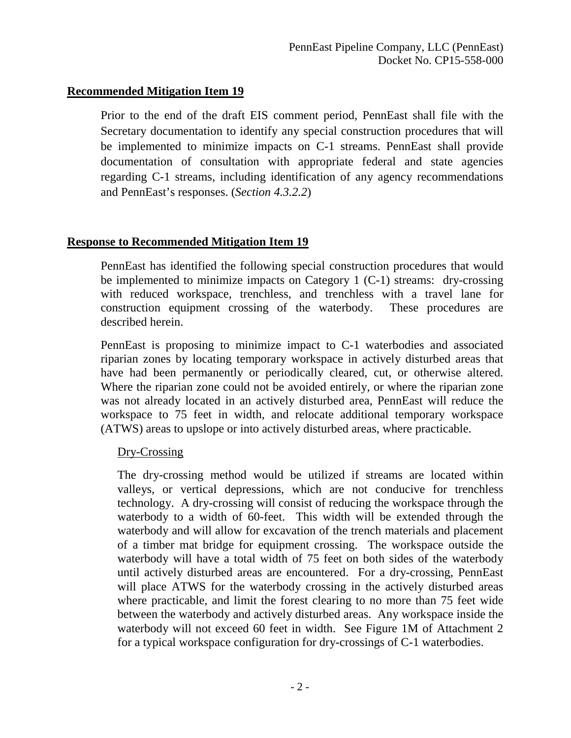Prior to the end of the draft EIS comment period, PennEast shall file with the Secretary documentation to identify any special construction procedures that will be implemented to minimize impacts on C-1 streams. PennEast shall provide documentation of consultation with appropriate federal and state agencies regarding C-1 streams, including identification of any agency recommendations and PennEast's responses. (*Section 4.3.2.2*)

# **Response to Recommended Mitigation Item 19**

PennEast has identified the following special construction procedures that would be implemented to minimize impacts on Category 1 (C-1) streams: dry-crossing with reduced workspace, trenchless, and trenchless with a travel lane for construction equipment crossing of the waterbody. These procedures are described herein.

PennEast is proposing to minimize impact to C-1 waterbodies and associated riparian zones by locating temporary workspace in actively disturbed areas that have had been permanently or periodically cleared, cut, or otherwise altered. Where the riparian zone could not be avoided entirely, or where the riparian zone was not already located in an actively disturbed area, PennEast will reduce the workspace to 75 feet in width, and relocate additional temporary workspace (ATWS) areas to upslope or into actively disturbed areas, where practicable.

#### Dry-Crossing

The dry-crossing method would be utilized if streams are located within valleys, or vertical depressions, which are not conducive for trenchless technology. A dry-crossing will consist of reducing the workspace through the waterbody to a width of 60-feet. This width will be extended through the waterbody and will allow for excavation of the trench materials and placement of a timber mat bridge for equipment crossing. The workspace outside the waterbody will have a total width of 75 feet on both sides of the waterbody until actively disturbed areas are encountered. For a dry-crossing, PennEast will place ATWS for the waterbody crossing in the actively disturbed areas where practicable, and limit the forest clearing to no more than 75 feet wide between the waterbody and actively disturbed areas. Any workspace inside the waterbody will not exceed 60 feet in width. See Figure 1M of Attachment 2 for a typical workspace configuration for dry-crossings of C-1 waterbodies.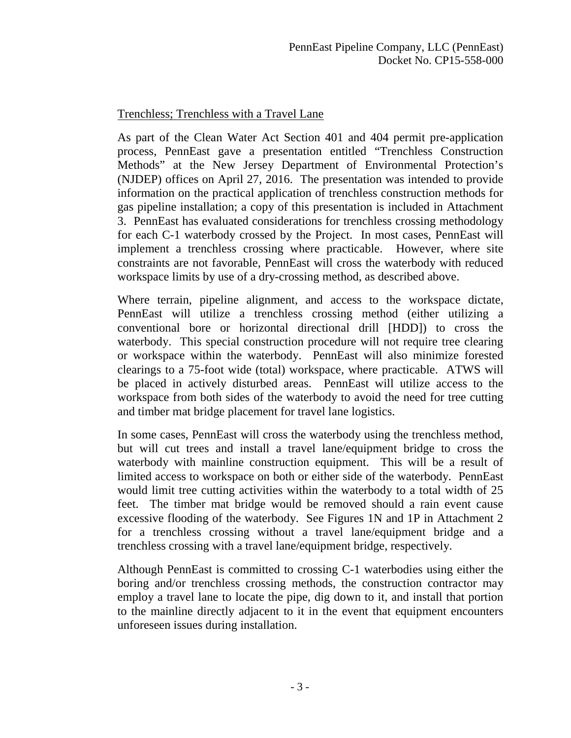# Trenchless; Trenchless with a Travel Lane

As part of the Clean Water Act Section 401 and 404 permit pre-application process, PennEast gave a presentation entitled "Trenchless Construction Methods" at the New Jersey Department of Environmental Protection's (NJDEP) offices on April 27, 2016. The presentation was intended to provide information on the practical application of trenchless construction methods for gas pipeline installation; a copy of this presentation is included in Attachment 3. PennEast has evaluated considerations for trenchless crossing methodology for each C-1 waterbody crossed by the Project. In most cases, PennEast will implement a trenchless crossing where practicable. However, where site constraints are not favorable, PennEast will cross the waterbody with reduced workspace limits by use of a dry-crossing method, as described above.

Where terrain, pipeline alignment, and access to the workspace dictate, PennEast will utilize a trenchless crossing method (either utilizing a conventional bore or horizontal directional drill [HDD]) to cross the waterbody. This special construction procedure will not require tree clearing or workspace within the waterbody. PennEast will also minimize forested clearings to a 75-foot wide (total) workspace, where practicable. ATWS will be placed in actively disturbed areas. PennEast will utilize access to the workspace from both sides of the waterbody to avoid the need for tree cutting and timber mat bridge placement for travel lane logistics.

In some cases, PennEast will cross the waterbody using the trenchless method, but will cut trees and install a travel lane/equipment bridge to cross the waterbody with mainline construction equipment. This will be a result of limited access to workspace on both or either side of the waterbody. PennEast would limit tree cutting activities within the waterbody to a total width of 25 feet. The timber mat bridge would be removed should a rain event cause excessive flooding of the waterbody. See Figures 1N and 1P in Attachment 2 for a trenchless crossing without a travel lane/equipment bridge and a trenchless crossing with a travel lane/equipment bridge, respectively.

Although PennEast is committed to crossing C-1 waterbodies using either the boring and/or trenchless crossing methods, the construction contractor may employ a travel lane to locate the pipe, dig down to it, and install that portion to the mainline directly adjacent to it in the event that equipment encounters unforeseen issues during installation.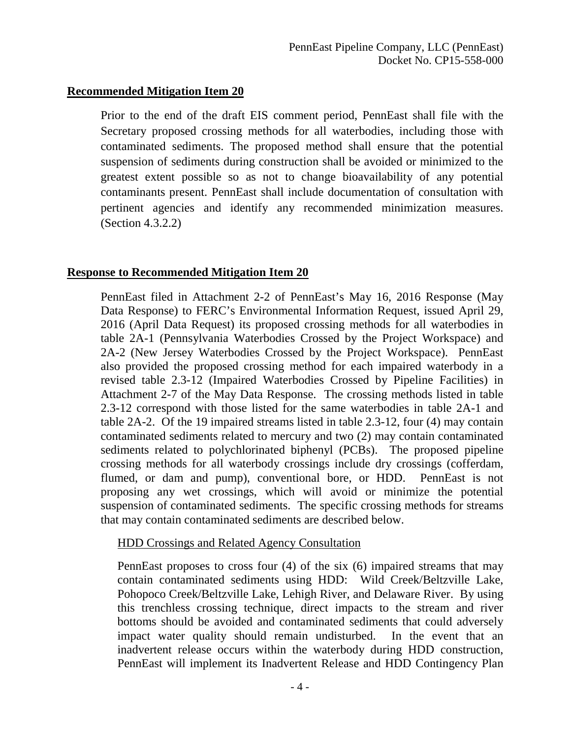Prior to the end of the draft EIS comment period, PennEast shall file with the Secretary proposed crossing methods for all waterbodies, including those with contaminated sediments. The proposed method shall ensure that the potential suspension of sediments during construction shall be avoided or minimized to the greatest extent possible so as not to change bioavailability of any potential contaminants present. PennEast shall include documentation of consultation with pertinent agencies and identify any recommended minimization measures. (Section 4.3.2.2)

# **Response to Recommended Mitigation Item 20**

PennEast filed in Attachment 2-2 of PennEast's May 16, 2016 Response (May Data Response) to FERC's Environmental Information Request, issued April 29, 2016 (April Data Request) its proposed crossing methods for all waterbodies in table 2A-1 (Pennsylvania Waterbodies Crossed by the Project Workspace) and 2A-2 (New Jersey Waterbodies Crossed by the Project Workspace). PennEast also provided the proposed crossing method for each impaired waterbody in a revised table 2.3-12 (Impaired Waterbodies Crossed by Pipeline Facilities) in Attachment 2-7 of the May Data Response. The crossing methods listed in table 2.3-12 correspond with those listed for the same waterbodies in table 2A-1 and table 2A-2. Of the 19 impaired streams listed in table 2.3-12, four (4) may contain contaminated sediments related to mercury and two (2) may contain contaminated sediments related to polychlorinated biphenyl (PCBs). The proposed pipeline crossing methods for all waterbody crossings include dry crossings (cofferdam, flumed, or dam and pump), conventional bore, or HDD. PennEast is not proposing any wet crossings, which will avoid or minimize the potential suspension of contaminated sediments. The specific crossing methods for streams that may contain contaminated sediments are described below.

#### HDD Crossings and Related Agency Consultation

PennEast proposes to cross four (4) of the six (6) impaired streams that may contain contaminated sediments using HDD: Wild Creek/Beltzville Lake, Pohopoco Creek/Beltzville Lake, Lehigh River, and Delaware River. By using this trenchless crossing technique, direct impacts to the stream and river bottoms should be avoided and contaminated sediments that could adversely impact water quality should remain undisturbed. In the event that an inadvertent release occurs within the waterbody during HDD construction, PennEast will implement its Inadvertent Release and HDD Contingency Plan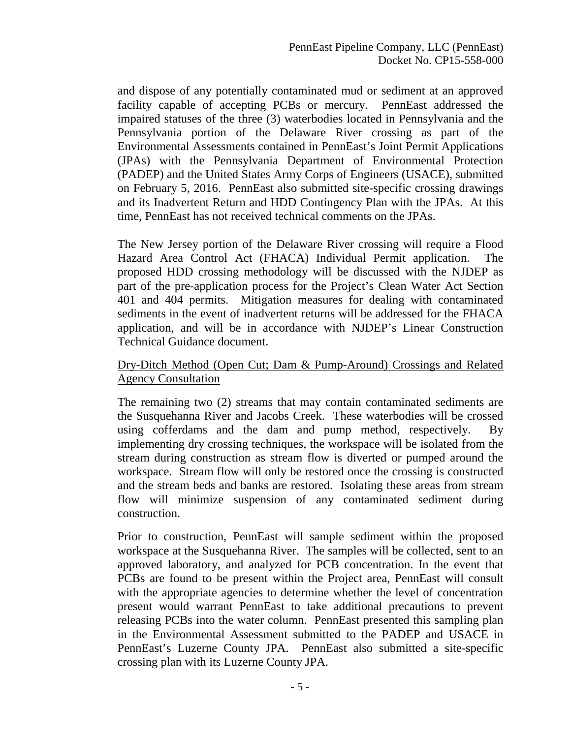and dispose of any potentially contaminated mud or sediment at an approved facility capable of accepting PCBs or mercury. PennEast addressed the impaired statuses of the three (3) waterbodies located in Pennsylvania and the Pennsylvania portion of the Delaware River crossing as part of the Environmental Assessments contained in PennEast's Joint Permit Applications (JPAs) with the Pennsylvania Department of Environmental Protection (PADEP) and the United States Army Corps of Engineers (USACE), submitted on February 5, 2016. PennEast also submitted site-specific crossing drawings and its Inadvertent Return and HDD Contingency Plan with the JPAs. At this time, PennEast has not received technical comments on the JPAs.

The New Jersey portion of the Delaware River crossing will require a Flood Hazard Area Control Act (FHACA) Individual Permit application. The proposed HDD crossing methodology will be discussed with the NJDEP as part of the pre-application process for the Project's Clean Water Act Section 401 and 404 permits. Mitigation measures for dealing with contaminated sediments in the event of inadvertent returns will be addressed for the FHACA application, and will be in accordance with NJDEP's Linear Construction Technical Guidance document.

# Dry-Ditch Method (Open Cut; Dam & Pump-Around) Crossings and Related Agency Consultation

The remaining two (2) streams that may contain contaminated sediments are the Susquehanna River and Jacobs Creek. These waterbodies will be crossed using cofferdams and the dam and pump method, respectively. By implementing dry crossing techniques, the workspace will be isolated from the stream during construction as stream flow is diverted or pumped around the workspace. Stream flow will only be restored once the crossing is constructed and the stream beds and banks are restored. Isolating these areas from stream flow will minimize suspension of any contaminated sediment during construction.

Prior to construction, PennEast will sample sediment within the proposed workspace at the Susquehanna River. The samples will be collected, sent to an approved laboratory, and analyzed for PCB concentration. In the event that PCBs are found to be present within the Project area, PennEast will consult with the appropriate agencies to determine whether the level of concentration present would warrant PennEast to take additional precautions to prevent releasing PCBs into the water column. PennEast presented this sampling plan in the Environmental Assessment submitted to the PADEP and USACE in PennEast's Luzerne County JPA. PennEast also submitted a site-specific crossing plan with its Luzerne County JPA.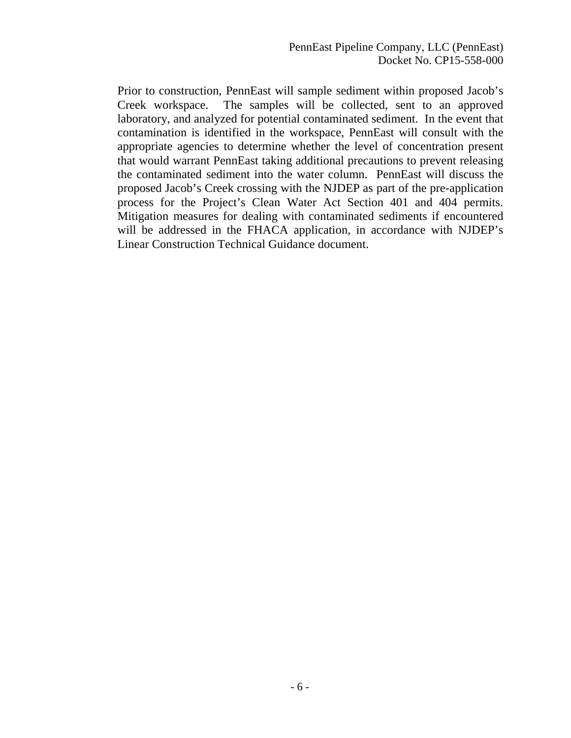Prior to construction, PennEast will sample sediment within proposed Jacob's Creek workspace. The samples will be collected, sent to an approved laboratory, and analyzed for potential contaminated sediment. In the event that contamination is identified in the workspace, PennEast will consult with the appropriate agencies to determine whether the level of concentration present that would warrant PennEast taking additional precautions to prevent releasing the contaminated sediment into the water column. PennEast will discuss the proposed Jacob's Creek crossing with the NJDEP as part of the pre-application process for the Project's Clean Water Act Section 401 and 404 permits. Mitigation measures for dealing with contaminated sediments if encountered will be addressed in the FHACA application, in accordance with NJDEP's Linear Construction Technical Guidance document.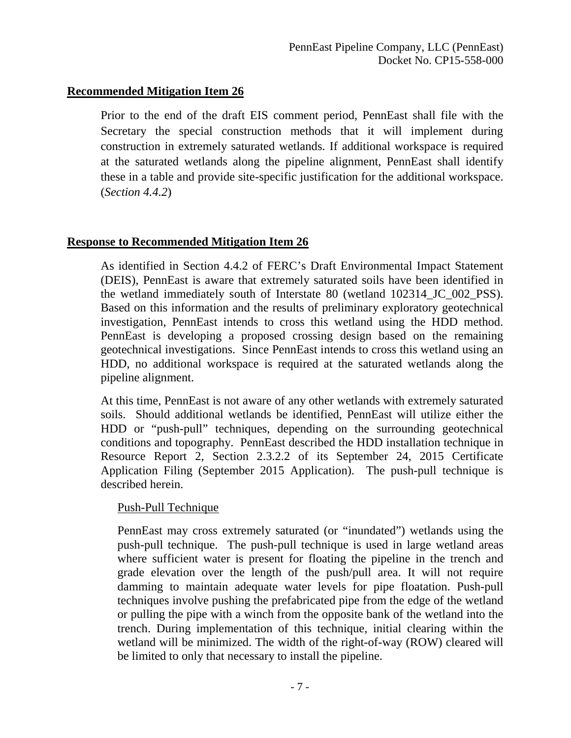Prior to the end of the draft EIS comment period, PennEast shall file with the Secretary the special construction methods that it will implement during construction in extremely saturated wetlands. If additional workspace is required at the saturated wetlands along the pipeline alignment, PennEast shall identify these in a table and provide site-specific justification for the additional workspace. (*Section 4.4.2*)

# **Response to Recommended Mitigation Item 26**

As identified in Section 4.4.2 of FERC's Draft Environmental Impact Statement (DEIS), PennEast is aware that extremely saturated soils have been identified in the wetland immediately south of Interstate 80 (wetland 102314\_JC\_002\_PSS). Based on this information and the results of preliminary exploratory geotechnical investigation, PennEast intends to cross this wetland using the HDD method. PennEast is developing a proposed crossing design based on the remaining geotechnical investigations. Since PennEast intends to cross this wetland using an HDD, no additional workspace is required at the saturated wetlands along the pipeline alignment.

At this time, PennEast is not aware of any other wetlands with extremely saturated soils. Should additional wetlands be identified, PennEast will utilize either the HDD or "push-pull" techniques, depending on the surrounding geotechnical conditions and topography. PennEast described the HDD installation technique in Resource Report 2, Section 2.3.2.2 of its September 24, 2015 Certificate Application Filing (September 2015 Application). The push-pull technique is described herein.

#### Push-Pull Technique

PennEast may cross extremely saturated (or "inundated") wetlands using the push-pull technique. The push-pull technique is used in large wetland areas where sufficient water is present for floating the pipeline in the trench and grade elevation over the length of the push/pull area. It will not require damming to maintain adequate water levels for pipe floatation. Push-pull techniques involve pushing the prefabricated pipe from the edge of the wetland or pulling the pipe with a winch from the opposite bank of the wetland into the trench. During implementation of this technique, initial clearing within the wetland will be minimized. The width of the right-of-way (ROW) cleared will be limited to only that necessary to install the pipeline.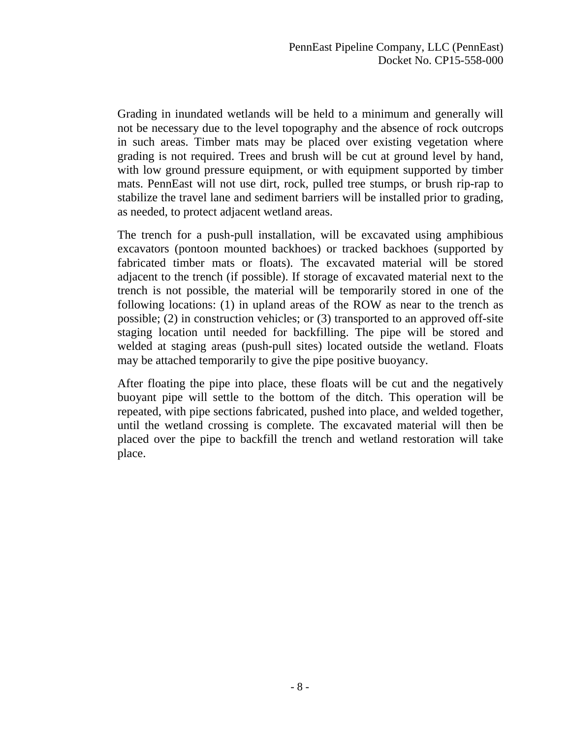Grading in inundated wetlands will be held to a minimum and generally will not be necessary due to the level topography and the absence of rock outcrops in such areas. Timber mats may be placed over existing vegetation where grading is not required. Trees and brush will be cut at ground level by hand, with low ground pressure equipment, or with equipment supported by timber mats. PennEast will not use dirt, rock, pulled tree stumps, or brush rip-rap to stabilize the travel lane and sediment barriers will be installed prior to grading, as needed, to protect adjacent wetland areas.

The trench for a push-pull installation, will be excavated using amphibious excavators (pontoon mounted backhoes) or tracked backhoes (supported by fabricated timber mats or floats). The excavated material will be stored adjacent to the trench (if possible). If storage of excavated material next to the trench is not possible, the material will be temporarily stored in one of the following locations: (1) in upland areas of the ROW as near to the trench as possible; (2) in construction vehicles; or (3) transported to an approved off-site staging location until needed for backfilling. The pipe will be stored and welded at staging areas (push-pull sites) located outside the wetland. Floats may be attached temporarily to give the pipe positive buoyancy.

After floating the pipe into place, these floats will be cut and the negatively buoyant pipe will settle to the bottom of the ditch. This operation will be repeated, with pipe sections fabricated, pushed into place, and welded together, until the wetland crossing is complete. The excavated material will then be placed over the pipe to backfill the trench and wetland restoration will take place.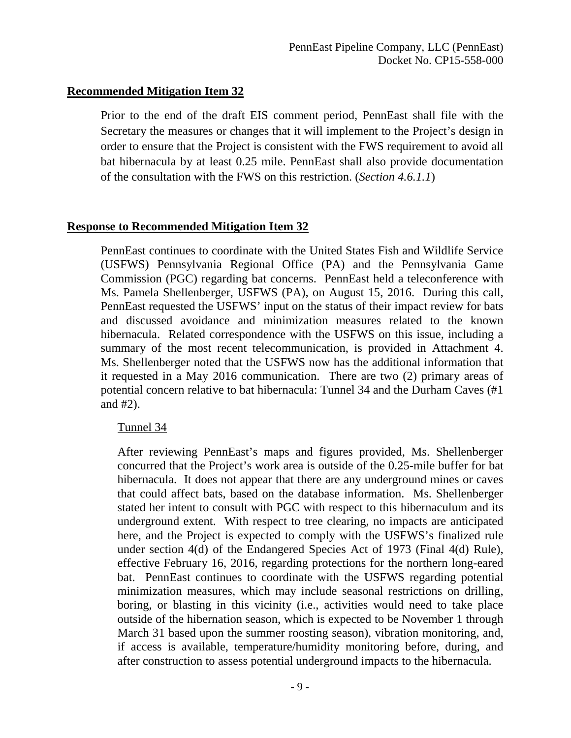Prior to the end of the draft EIS comment period, PennEast shall file with the Secretary the measures or changes that it will implement to the Project's design in order to ensure that the Project is consistent with the FWS requirement to avoid all bat hibernacula by at least 0.25 mile. PennEast shall also provide documentation of the consultation with the FWS on this restriction. (*Section 4.6.1.1*)

# **Response to Recommended Mitigation Item 32**

PennEast continues to coordinate with the United States Fish and Wildlife Service (USFWS) Pennsylvania Regional Office (PA) and the Pennsylvania Game Commission (PGC) regarding bat concerns. PennEast held a teleconference with Ms. Pamela Shellenberger, USFWS (PA), on August 15, 2016. During this call, PennEast requested the USFWS' input on the status of their impact review for bats and discussed avoidance and minimization measures related to the known hibernacula. Related correspondence with the USFWS on this issue, including a summary of the most recent telecommunication, is provided in Attachment 4. Ms. Shellenberger noted that the USFWS now has the additional information that it requested in a May 2016 communication. There are two (2) primary areas of potential concern relative to bat hibernacula: Tunnel 34 and the Durham Caves (#1 and #2).

#### Tunnel 34

After reviewing PennEast's maps and figures provided, Ms. Shellenberger concurred that the Project's work area is outside of the 0.25-mile buffer for bat hibernacula. It does not appear that there are any underground mines or caves that could affect bats, based on the database information. Ms. Shellenberger stated her intent to consult with PGC with respect to this hibernaculum and its underground extent. With respect to tree clearing, no impacts are anticipated here, and the Project is expected to comply with the USFWS's finalized rule under section 4(d) of the Endangered Species Act of 1973 (Final 4(d) Rule), effective February 16, 2016, regarding protections for the northern long-eared bat. PennEast continues to coordinate with the USFWS regarding potential minimization measures, which may include seasonal restrictions on drilling, boring, or blasting in this vicinity (i.e., activities would need to take place outside of the hibernation season, which is expected to be November 1 through March 31 based upon the summer roosting season), vibration monitoring, and, if access is available, temperature/humidity monitoring before, during, and after construction to assess potential underground impacts to the hibernacula.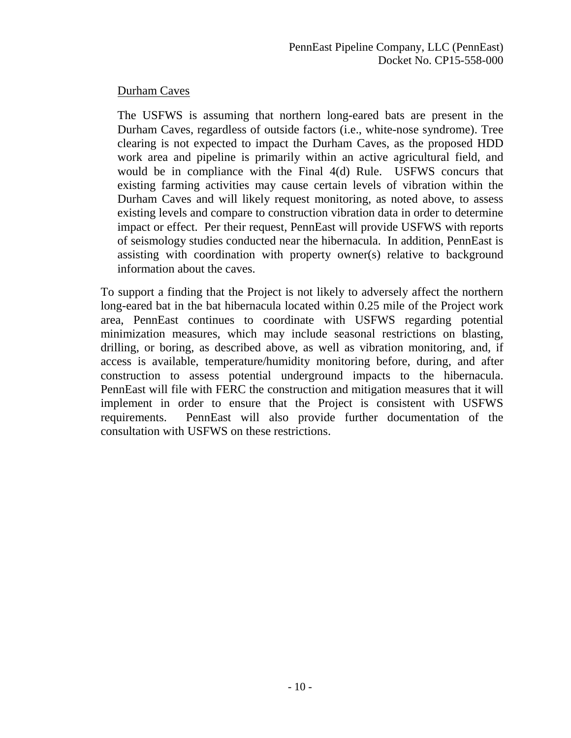# Durham Caves

The USFWS is assuming that northern long-eared bats are present in the Durham Caves, regardless of outside factors (i.e., white-nose syndrome). Tree clearing is not expected to impact the Durham Caves, as the proposed HDD work area and pipeline is primarily within an active agricultural field, and would be in compliance with the Final 4(d) Rule. USFWS concurs that existing farming activities may cause certain levels of vibration within the Durham Caves and will likely request monitoring, as noted above, to assess existing levels and compare to construction vibration data in order to determine impact or effect. Per their request, PennEast will provide USFWS with reports of seismology studies conducted near the hibernacula. In addition, PennEast is assisting with coordination with property owner(s) relative to background information about the caves.

To support a finding that the Project is not likely to adversely affect the northern long-eared bat in the bat hibernacula located within 0.25 mile of the Project work area, PennEast continues to coordinate with USFWS regarding potential minimization measures, which may include seasonal restrictions on blasting, drilling, or boring, as described above, as well as vibration monitoring, and, if access is available, temperature/humidity monitoring before, during, and after construction to assess potential underground impacts to the hibernacula. PennEast will file with FERC the construction and mitigation measures that it will implement in order to ensure that the Project is consistent with USFWS requirements. PennEast will also provide further documentation of the consultation with USFWS on these restrictions.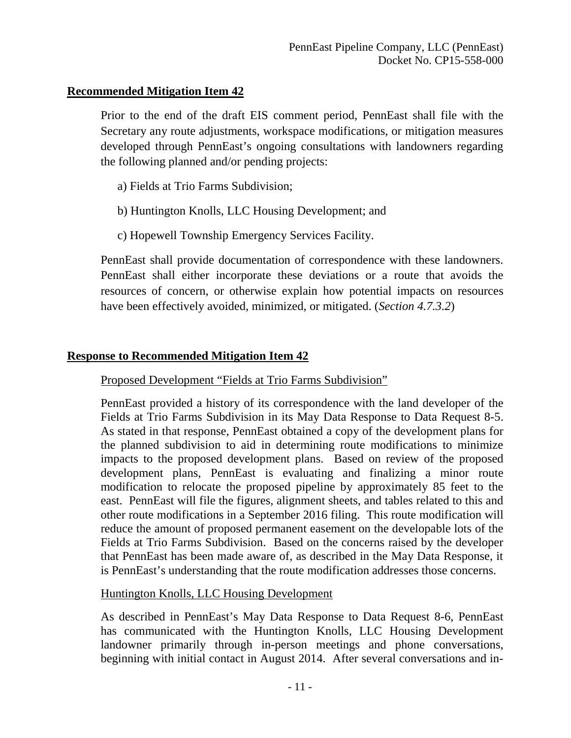Prior to the end of the draft EIS comment period, PennEast shall file with the Secretary any route adjustments, workspace modifications, or mitigation measures developed through PennEast's ongoing consultations with landowners regarding the following planned and/or pending projects:

- a) Fields at Trio Farms Subdivision;
- b) Huntington Knolls, LLC Housing Development; and
- c) Hopewell Township Emergency Services Facility.

PennEast shall provide documentation of correspondence with these landowners. PennEast shall either incorporate these deviations or a route that avoids the resources of concern, or otherwise explain how potential impacts on resources have been effectively avoided, minimized, or mitigated. (*Section 4.7.3.2*)

# **Response to Recommended Mitigation Item 42**

# Proposed Development "Fields at Trio Farms Subdivision"

PennEast provided a history of its correspondence with the land developer of the Fields at Trio Farms Subdivision in its May Data Response to Data Request 8-5. As stated in that response, PennEast obtained a copy of the development plans for the planned subdivision to aid in determining route modifications to minimize impacts to the proposed development plans. Based on review of the proposed development plans, PennEast is evaluating and finalizing a minor route modification to relocate the proposed pipeline by approximately 85 feet to the east. PennEast will file the figures, alignment sheets, and tables related to this and other route modifications in a September 2016 filing. This route modification will reduce the amount of proposed permanent easement on the developable lots of the Fields at Trio Farms Subdivision. Based on the concerns raised by the developer that PennEast has been made aware of, as described in the May Data Response, it is PennEast's understanding that the route modification addresses those concerns.

# Huntington Knolls, LLC Housing Development

As described in PennEast's May Data Response to Data Request 8-6, PennEast has communicated with the Huntington Knolls, LLC Housing Development landowner primarily through in-person meetings and phone conversations, beginning with initial contact in August 2014. After several conversations and in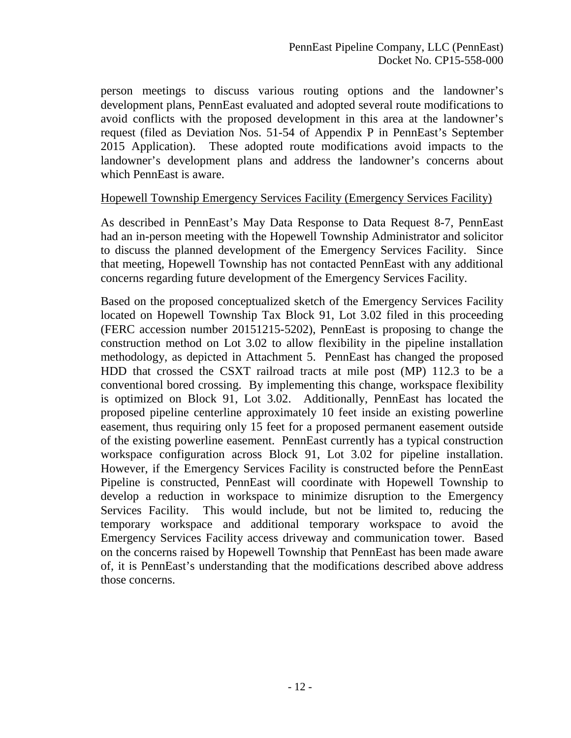person meetings to discuss various routing options and the landowner's development plans, PennEast evaluated and adopted several route modifications to avoid conflicts with the proposed development in this area at the landowner's request (filed as Deviation Nos. 51-54 of Appendix P in PennEast's September 2015 Application). These adopted route modifications avoid impacts to the landowner's development plans and address the landowner's concerns about which PennEast is aware.

#### Hopewell Township Emergency Services Facility (Emergency Services Facility)

As described in PennEast's May Data Response to Data Request 8-7, PennEast had an in-person meeting with the Hopewell Township Administrator and solicitor to discuss the planned development of the Emergency Services Facility. Since that meeting, Hopewell Township has not contacted PennEast with any additional concerns regarding future development of the Emergency Services Facility.

Based on the proposed conceptualized sketch of the Emergency Services Facility located on Hopewell Township Tax Block 91, Lot 3.02 filed in this proceeding (FERC accession number 20151215-5202), PennEast is proposing to change the construction method on Lot 3.02 to allow flexibility in the pipeline installation methodology, as depicted in Attachment 5. PennEast has changed the proposed HDD that crossed the CSXT railroad tracts at mile post (MP) 112.3 to be a conventional bored crossing. By implementing this change, workspace flexibility is optimized on Block 91, Lot 3.02. Additionally, PennEast has located the proposed pipeline centerline approximately 10 feet inside an existing powerline easement, thus requiring only 15 feet for a proposed permanent easement outside of the existing powerline easement. PennEast currently has a typical construction workspace configuration across Block 91, Lot 3.02 for pipeline installation. However, if the Emergency Services Facility is constructed before the PennEast Pipeline is constructed, PennEast will coordinate with Hopewell Township to develop a reduction in workspace to minimize disruption to the Emergency Services Facility. This would include, but not be limited to, reducing the temporary workspace and additional temporary workspace to avoid the Emergency Services Facility access driveway and communication tower. Based on the concerns raised by Hopewell Township that PennEast has been made aware of, it is PennEast's understanding that the modifications described above address those concerns.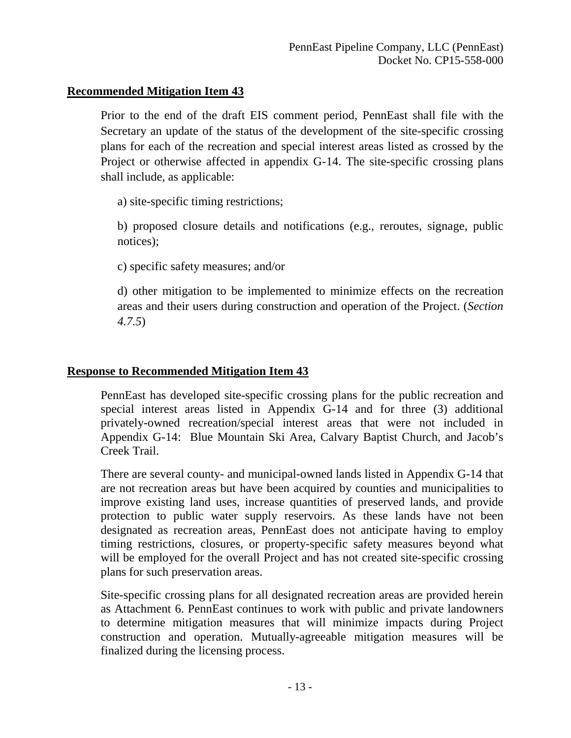Prior to the end of the draft EIS comment period, PennEast shall file with the Secretary an update of the status of the development of the site-specific crossing plans for each of the recreation and special interest areas listed as crossed by the Project or otherwise affected in appendix G-14. The site-specific crossing plans shall include, as applicable:

a) site-specific timing restrictions;

b) proposed closure details and notifications (e.g., reroutes, signage, public notices);

c) specific safety measures; and/or

d) other mitigation to be implemented to minimize effects on the recreation areas and their users during construction and operation of the Project. (*Section 4.7.5*)

# **Response to Recommended Mitigation Item 43**

PennEast has developed site-specific crossing plans for the public recreation and special interest areas listed in Appendix G-14 and for three (3) additional privately-owned recreation/special interest areas that were not included in Appendix G-14: Blue Mountain Ski Area, Calvary Baptist Church, and Jacob's Creek Trail.

There are several county- and municipal-owned lands listed in Appendix G-14 that are not recreation areas but have been acquired by counties and municipalities to improve existing land uses, increase quantities of preserved lands, and provide protection to public water supply reservoirs. As these lands have not been designated as recreation areas, PennEast does not anticipate having to employ timing restrictions, closures, or property-specific safety measures beyond what will be employed for the overall Project and has not created site-specific crossing plans for such preservation areas.

Site-specific crossing plans for all designated recreation areas are provided herein as Attachment 6. PennEast continues to work with public and private landowners to determine mitigation measures that will minimize impacts during Project construction and operation. Mutually-agreeable mitigation measures will be finalized during the licensing process.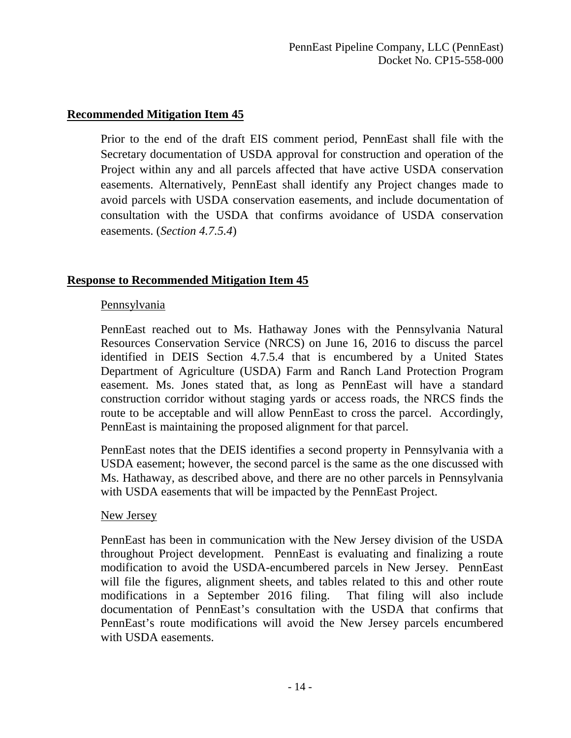Prior to the end of the draft EIS comment period, PennEast shall file with the Secretary documentation of USDA approval for construction and operation of the Project within any and all parcels affected that have active USDA conservation easements. Alternatively, PennEast shall identify any Project changes made to avoid parcels with USDA conservation easements, and include documentation of consultation with the USDA that confirms avoidance of USDA conservation easements. (*Section 4.7.5.4*)

# **Response to Recommended Mitigation Item 45**

#### Pennsylvania

PennEast reached out to Ms. Hathaway Jones with the Pennsylvania Natural Resources Conservation Service (NRCS) on June 16, 2016 to discuss the parcel identified in DEIS Section 4.7.5.4 that is encumbered by a United States Department of Agriculture (USDA) Farm and Ranch Land Protection Program easement. Ms. Jones stated that, as long as PennEast will have a standard construction corridor without staging yards or access roads, the NRCS finds the route to be acceptable and will allow PennEast to cross the parcel. Accordingly, PennEast is maintaining the proposed alignment for that parcel.

PennEast notes that the DEIS identifies a second property in Pennsylvania with a USDA easement; however, the second parcel is the same as the one discussed with Ms. Hathaway, as described above, and there are no other parcels in Pennsylvania with USDA easements that will be impacted by the PennEast Project.

#### New Jersey

PennEast has been in communication with the New Jersey division of the USDA throughout Project development. PennEast is evaluating and finalizing a route modification to avoid the USDA-encumbered parcels in New Jersey. PennEast will file the figures, alignment sheets, and tables related to this and other route modifications in a September 2016 filing. That filing will also include documentation of PennEast's consultation with the USDA that confirms that PennEast's route modifications will avoid the New Jersey parcels encumbered with USDA easements.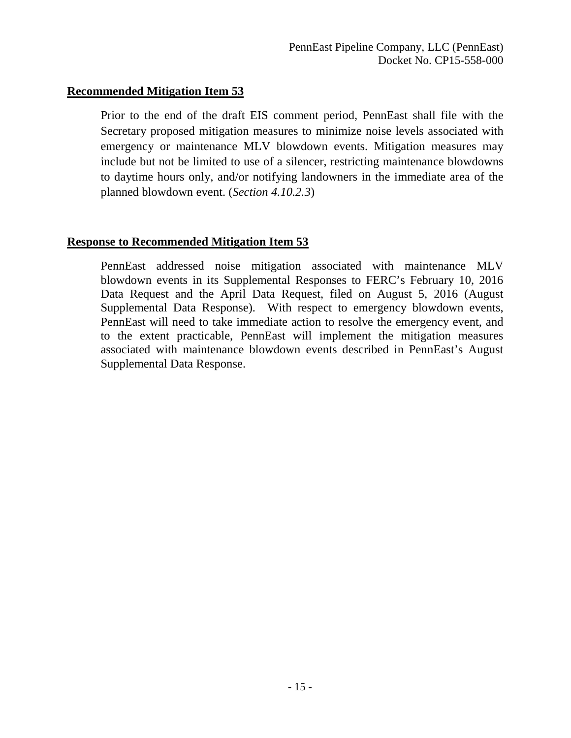Prior to the end of the draft EIS comment period, PennEast shall file with the Secretary proposed mitigation measures to minimize noise levels associated with emergency or maintenance MLV blowdown events. Mitigation measures may include but not be limited to use of a silencer, restricting maintenance blowdowns to daytime hours only, and/or notifying landowners in the immediate area of the planned blowdown event. (*Section 4.10.2.3*)

# **Response to Recommended Mitigation Item 53**

PennEast addressed noise mitigation associated with maintenance MLV blowdown events in its Supplemental Responses to FERC's February 10, 2016 Data Request and the April Data Request, filed on August 5, 2016 (August Supplemental Data Response). With respect to emergency blowdown events, PennEast will need to take immediate action to resolve the emergency event, and to the extent practicable, PennEast will implement the mitigation measures associated with maintenance blowdown events described in PennEast's August Supplemental Data Response.